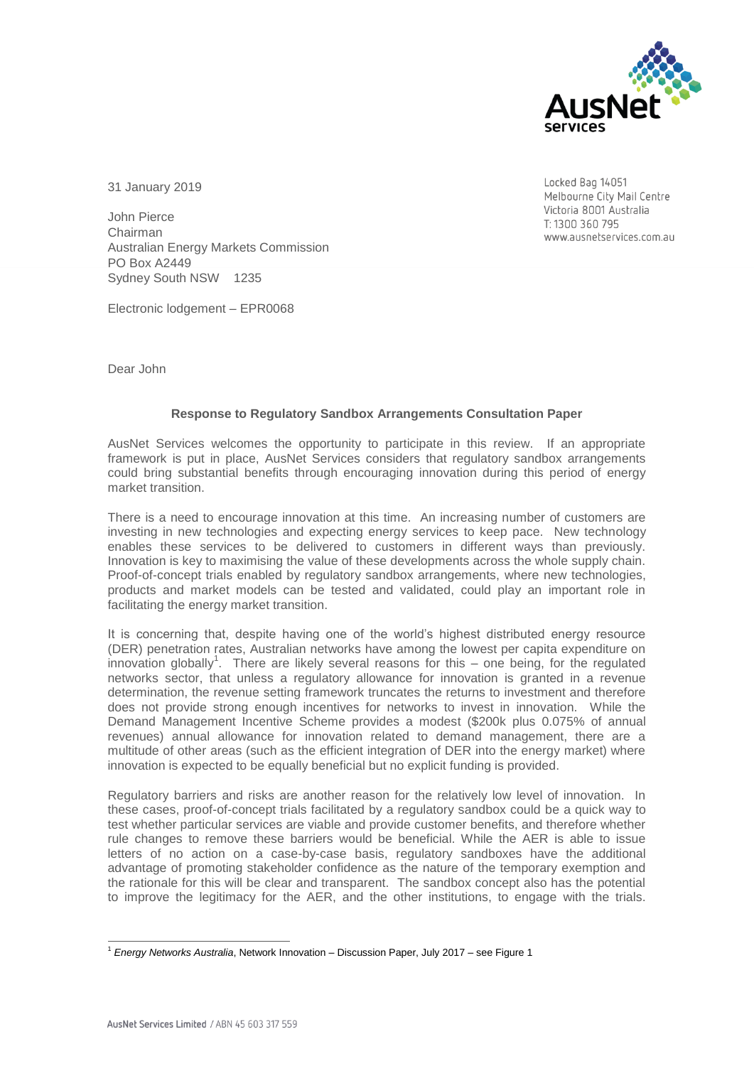

Locked Bag 14051

Melbourne City Mail Centre Victoria 8001 Australia T: 1300 360 795

university panily a zing www.

31 January 2019

John Pierce Chairman Australian Energy Markets Commission PO Box A2449 Sydney South NSW 1235

Electronic lodgement – EPR0068

Dear John

## **Response to Regulatory Sandbox Arrangements Consultation Paper**

AusNet Services welcomes the opportunity to participate in this review. If an appropriate framework is put in place, AusNet Services considers that regulatory sandbox arrangements could bring substantial benefits through encouraging innovation during this period of energy market transition.

There is a need to encourage innovation at this time. An increasing number of customers are investing in new technologies and expecting energy services to keep pace. New technology enables these services to be delivered to customers in different ways than previously. Innovation is key to maximising the value of these developments across the whole supply chain. Proof-of-concept trials enabled by regulatory sandbox arrangements, where new technologies, products and market models can be tested and validated, could play an important role in facilitating the energy market transition.

It is concerning that, despite having one of the world's highest distributed energy resource (DER) penetration rates, Australian networks have among the lowest per capita expenditure on innovation globally<sup>1</sup>. There are likely several reasons for this  $-$  one being, for the regulated networks sector, that unless a regulatory allowance for innovation is granted in a revenue determination, the revenue setting framework truncates the returns to investment and therefore does not provide strong enough incentives for networks to invest in innovation. While the Demand Management Incentive Scheme provides a modest (\$200k plus 0.075% of annual revenues) annual allowance for innovation related to demand management, there are a multitude of other areas (such as the efficient integration of DER into the energy market) where innovation is expected to be equally beneficial but no explicit funding is provided.

Regulatory barriers and risks are another reason for the relatively low level of innovation. In these cases, proof-of-concept trials facilitated by a regulatory sandbox could be a quick way to test whether particular services are viable and provide customer benefits, and therefore whether rule changes to remove these barriers would be beneficial. While the AER is able to issue letters of no action on a case-by-case basis, regulatory sandboxes have the additional advantage of promoting stakeholder confidence as the nature of the temporary exemption and the rationale for this will be clear and transparent. The sandbox concept also has the potential to improve the legitimacy for the AER, and the other institutions, to engage with the trials.

 $\overline{a}$ <sup>1</sup> *Energy Networks Australia*, Network Innovation – Discussion Paper, July 2017 – see Figure 1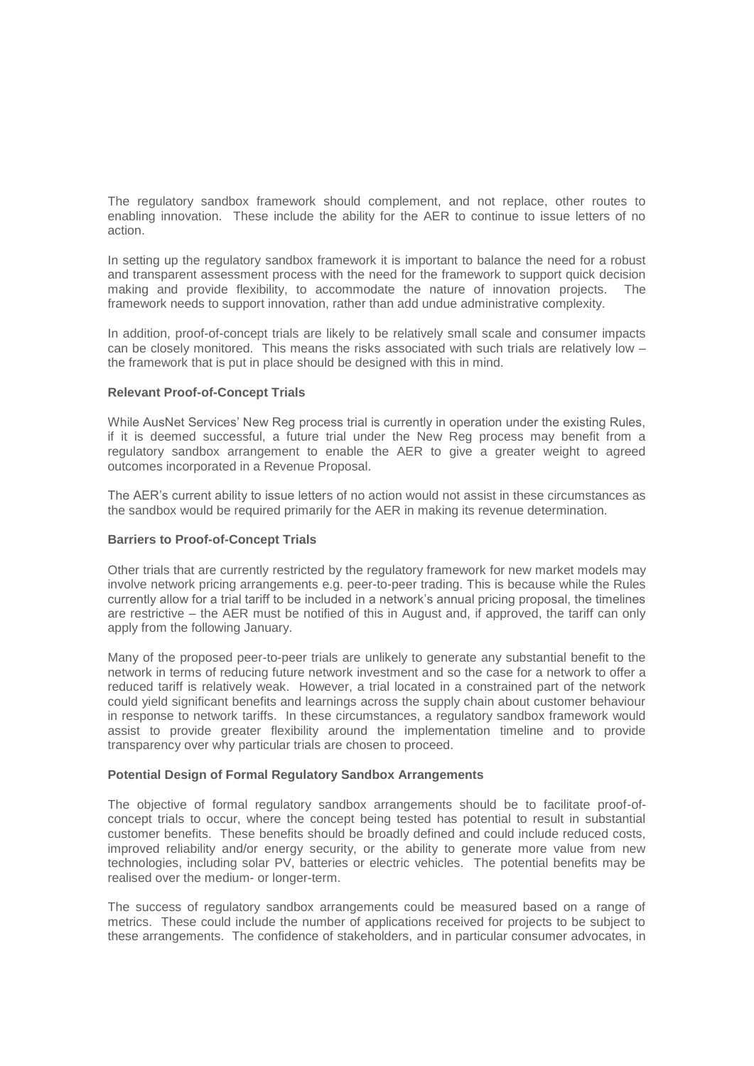The regulatory sandbox framework should complement, and not replace, other routes to enabling innovation. These include the ability for the AER to continue to issue letters of no action.

In setting up the regulatory sandbox framework it is important to balance the need for a robust and transparent assessment process with the need for the framework to support quick decision making and provide flexibility, to accommodate the nature of innovation projects. The framework needs to support innovation, rather than add undue administrative complexity.

In addition, proof-of-concept trials are likely to be relatively small scale and consumer impacts can be closely monitored. This means the risks associated with such trials are relatively low – the framework that is put in place should be designed with this in mind.

## **Relevant Proof-of-Concept Trials**

While AusNet Services' New Reg process trial is currently in operation under the existing Rules, if it is deemed successful, a future trial under the New Reg process may benefit from a regulatory sandbox arrangement to enable the AER to give a greater weight to agreed outcomes incorporated in a Revenue Proposal.

The AER's current ability to issue letters of no action would not assist in these circumstances as the sandbox would be required primarily for the AER in making its revenue determination.

## **Barriers to Proof-of-Concept Trials**

Other trials that are currently restricted by the regulatory framework for new market models may involve network pricing arrangements e.g. peer-to-peer trading. This is because while the Rules currently allow for a trial tariff to be included in a network's annual pricing proposal, the timelines are restrictive – the AER must be notified of this in August and, if approved, the tariff can only apply from the following January.

Many of the proposed peer-to-peer trials are unlikely to generate any substantial benefit to the network in terms of reducing future network investment and so the case for a network to offer a reduced tariff is relatively weak. However, a trial located in a constrained part of the network could yield significant benefits and learnings across the supply chain about customer behaviour in response to network tariffs. In these circumstances, a regulatory sandbox framework would assist to provide greater flexibility around the implementation timeline and to provide transparency over why particular trials are chosen to proceed.

## **Potential Design of Formal Regulatory Sandbox Arrangements**

The objective of formal regulatory sandbox arrangements should be to facilitate proof-ofconcept trials to occur, where the concept being tested has potential to result in substantial customer benefits. These benefits should be broadly defined and could include reduced costs, improved reliability and/or energy security, or the ability to generate more value from new technologies, including solar PV, batteries or electric vehicles. The potential benefits may be realised over the medium- or longer-term.

The success of regulatory sandbox arrangements could be measured based on a range of metrics. These could include the number of applications received for projects to be subject to these arrangements. The confidence of stakeholders, and in particular consumer advocates, in